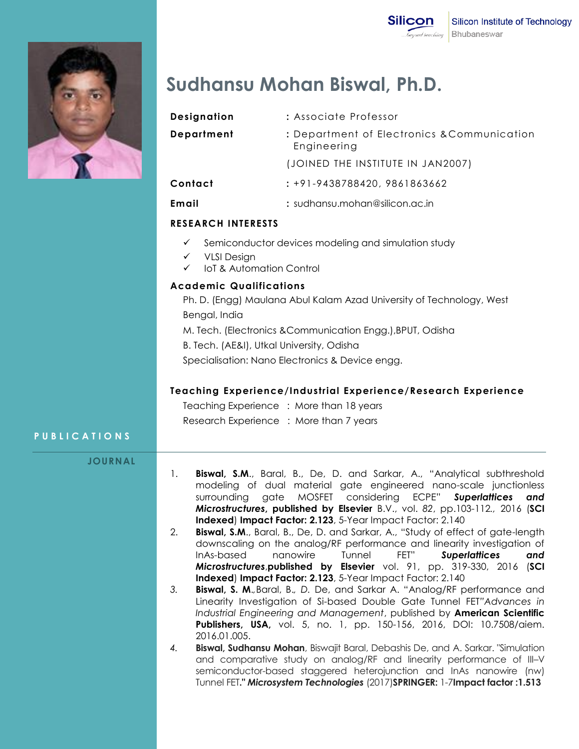

# **Sudhansu Mohan Biswal, Ph.D.**

| Designation | : Associate Professor                                      |
|-------------|------------------------------------------------------------|
| Department  | : Department of Electronics & Communication<br>Engineering |
|             | (JOINED THE INSTITUTE IN JAN2007)                          |
| Contact     | : +91-9438788420, 9861863662                               |
| Email       | : sudhansu.mohan@silicon.ac.in                             |
|             |                                                            |

# **RESEARCH INTERESTS**

- $\checkmark$  Semiconductor devices modeling and simulation study
- $V$  VLSI Design
- IoT & Automation Control

## **Academic Qualifications**

Ph. D. (Engg) Maulana Abul Kalam Azad University of Technology, West Bengal, India

M. Tech. (Electronics &Communication Engg.),BPUT, Odisha

B. Tech. (AE&I), Utkal University, Odisha

Specialisation: Nano Electronics & Device engg.

### **Teaching Experience/Industrial Experience/Research Experience**

Teaching Experience : More than 18 years Research Experience : More than 7 years

# **P U B L I C A T I O N S**

**JOURNAL**

- 1. **Biswal, S.M**., Baral, B., De, D. and Sarkar, A., "Analytical subthreshold modeling of dual material gate engineered nano-scale junctionless surrounding gate MOSFET considering ECPE" *Superlattices and Microstructures***, published by Elsevier** B.V., vol. *82*, pp.103-112*.,* 2016 (**SCI Indexed**) **Impact Factor: 2.123**, 5-Year Impact Factor: 2.140
- 2. **Biswal, S.M**., Baral, B., De, D. and Sarkar, A., "Study of effect of gate-length downscaling on the analog/RF performance and linearity investigation of InAs-based nanowire Tunnel FET" *Superlattices and Microstructures*,**published by Elsevier** vol. 91, pp. 319-330, 2016 (**SCI Indexed**) **Impact Factor: 2.123**, 5-Year Impact Factor: 2.140
- *3.* **Biswal, S. M**.*,*Baral, B.*, D.* De, and Sarkar A. "Analog/RF performance and Linearity Investigation of Si-based Double Gate Tunnel FET*"Advances in Industrial Engineering and Management*, published by **American Scientific Publishers, USA,** vol. 5, no. 1, pp. 150-156, 2016, DOI: 10.7508/aiem. 2016.01.005.
- *4.* **Biswal, Sudhansu Mohan**, Biswajit Baral, Debashis De, and A. Sarkar. "Simulation and comparative study on analog/RF and linearity performance of III–V semiconductor-based staggered heterojunction and InAs nanowire (nw) Tunnel FET**."** *Microsystem Technologies* (2017)**SPRINGER:** 1-7**Impact factor :1.513**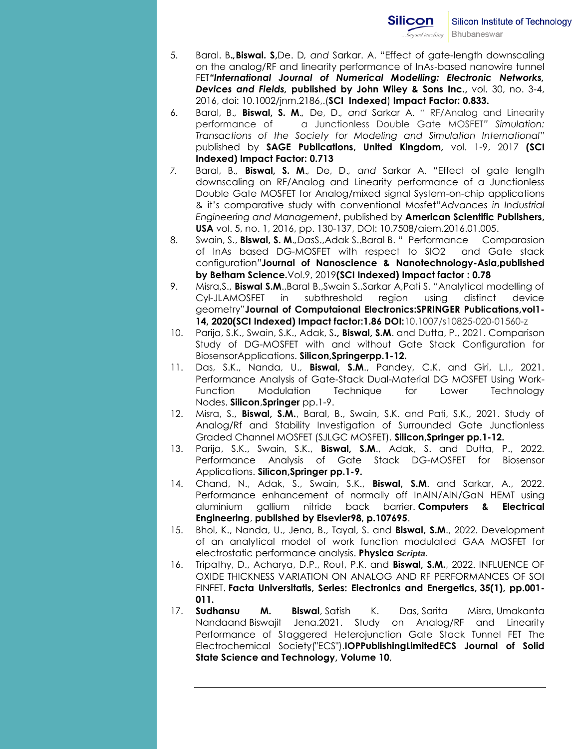- 5. Baral. B**.***,***Biswal. S,**De. D*, and* Sarkar. A. "Effect of gate-length downscaling on the analog/RF and linearity performance of InAs-based nanowire tunnel FET*"International Journal of Numerical Modelling: Electronic Networks, Devices and Fields,* **published by John Wiley & Sons Inc.,** vol. 30, no. 3-4, 2016, doi: 10.1002/jnm.2186,.(**SCI Indexed**) **Impact Factor: 0.833.**
- 6. Baral, B.*,* **Biswal, S. M**.*,* De, D.*, and* Sarkar A. " RF/Analog and Linearity performance of a Junctionless Double Gate MOSFET*" Simulation: Transactions of the Society for Modeling and Simulation International*" published by **SAGE Publications, United Kingdom,** vol. 1-9, 2017 **(SCI Indexed) Impact Factor: 0.713**
- *7.* Baral, B.*,* **Biswal, S. M**.*,* De, D.*, and* Sarkar A. "Effect of gate length downscaling on RF/Analog and Linearity performance of a Junctionless Double Gate MOSFET for Analog/mixed signal System-on-chip applications & it's comparative study with conventional Mosfet*"Advances in Industrial Engineering and Management*, published by **American Scientific Publishers, USA** vol. 5, no. 1, 2016, pp. 130-137, DOI: 10.7508/aiem.2016.01.005.
- 8. Swain, S., **Biswal, S. M**.*,Das*S.,Adak S.,Baral B. " Performance Comparasion of InAs based DG-MOSFET with respect to SIO2 and Gate stack configuration*"***Journal of Nanoscience & Nanotechnology-Asia,published by Betham Science.**Vol.9, 2019**(SCI Indexed) Impact factor : 0.78**
- 9. Misra,S., **Biswal S.M**.,Baral B.,Swain S.,Sarkar A,Pati S. "Analytical modelling of Cyl-JLAMOSFET in subthreshold region using distinct device geometry"**Journal of Computaional Electronics:SPRINGER Publications,vol1- 14, 2020(SCI Indexed) Impact factor:1.86 DOI:**10.1007/s10825-020-01560-z
- 10. Parija, S.K., Swain, S.K., Adak, S**., Biswal, S.M**. and Dutta, P., 2021. Comparison Study of DG-MOSFET with and without Gate Stack Configuration for BiosensorApplications. **Silicon,Springerpp.1-12.**
- 11. Das, S.K., Nanda, U., **Biswal, S.M**., Pandey, C.K. and Giri, L.I., 2021. Performance Analysis of Gate-Stack Dual-Material DG MOSFET Using Work-Function Modulation Technique for Lower Technology Nodes. **Silicon**,**Springer** pp.1-9.
- 12. Misra, S., **Biswal, S.M.**, Baral, B., Swain, S.K. and Pati, S.K., 2021. Study of Analog/Rf and Stability Investigation of Surrounded Gate Junctionless Graded Channel MOSFET (SJLGC MOSFET). **Silicon,Springer pp.1-12.**
- 13. Parija, S.K., Swain, S.K., **Biswal, S.M**., Adak, S. and Dutta, P., 2022. Performance Analysis of Gate Stack DG-MOSFET for Biosensor Applications. **Silicon,Springer pp.1-9.**
- 14. Chand, N., Adak, S., Swain, S.K., **Biswal, S.M**. and Sarkar, A., 2022. Performance enhancement of normally off InAlN/AlN/GaN HEMT using aluminium gallium nitride back barrier. **Computers & Electrical Engineering**, **published by Elsevier98, p.107695**.
- 15. Bhol, K., Nanda, U., Jena, B., Tayal, S. and **Biswal, S.M**., 2022. Development of an analytical model of work function modulated GAA MOSFET for electrostatic performance analysis. **Physica** *Scripta***.**
- 16. Tripathy, D., Acharya, D.P., Rout, P.K. and **Biswal, S.M.**, 2022. INFLUENCE OF OXIDE THICKNESS VARIATION ON ANALOG AND RF PERFORMANCES OF SOI FINFET. **Facta Universitatis, Series: Electronics and Energetics, 35(1), pp.001- 011.**
- 17. **Sudhansu M. Biswal**, Satish K. Das, Sarita Misra, Umakanta Nandaand Biswajit Jena.2021. Study on Analog/RF and Linearity Performance of Staggered Heterojunction Gate Stack Tunnel FET The Electrochemical Society("ECS").**IOPPublishingLimitedECS Journal of Solid State Science and Technology, Volume 10**,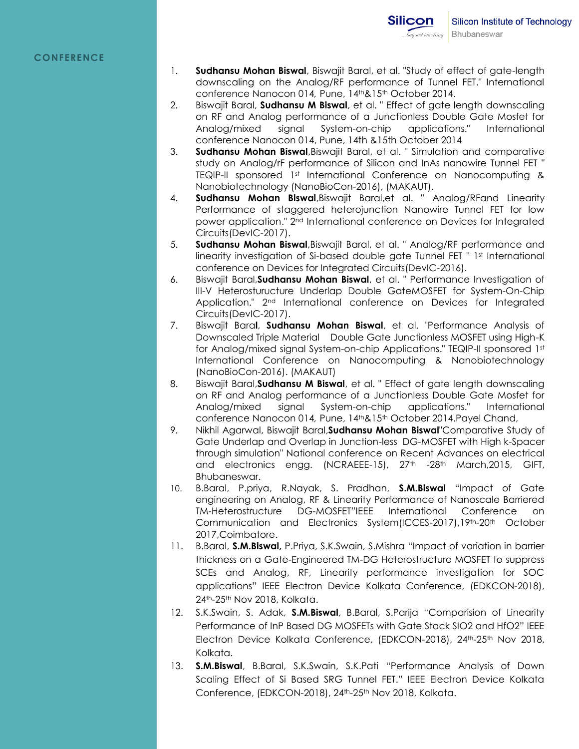- 1. **Sudhansu Mohan Biswal**, Biswajit Baral, et al. "Study of effect of gate-length downscaling on the Analog/RF performance of Tunnel FET." International conference Nanocon 014, Pune, 14<sup>th</sup>&15<sup>th</sup> October 2014.
- 2. Biswajit Baral, **Sudhansu M Biswal**, et al. " Effect of gate length downscaling on RF and Analog performance of a Junctionless Double Gate Mosfet for Analog/mixed signal System-on-chip applications." International conference Nanocon 014, Pune, 14th &15th October 2014
- 3. **Sudhansu Mohan Biswal**,Biswajit Baral, et al. " Simulation and comparative study on Analog/rF performance of Silicon and InAs nanowire Tunnel FET " TEQIP-II sponsored 1st International Conference on Nanocomputing & Nanobiotechnology (NanoBioCon-2016), (MAKAUT).
- 4. **Sudhansu Mohan Biswal**,Biswajit Baral,et al. " Analog/RFand Linearity Performance of staggered heterojunction Nanowire Tunnel FET for low power application." 2nd International conference on Devices for Integrated Circuits(DevIC-2017).
- 5. **Sudhansu Mohan Biswal**,Biswajit Baral, et al. " Analog/RF performance and linearity investigation of Si-based double gate Tunnel FET " 1st International conference on Devices for Integrated Circuits(DevIC-2016).
- 6. Biswajit Baral,**Sudhansu Mohan Biswal**, et al. " Performance Investigation of III-V Heterosturucture Underlap Double GateMOSFET for System-On-Chip Application." 2nd International conference on Devices for Integrated Circuits(DevIC-2017).
- 7. Biswajit Bara**l**, **Sudhansu Mohan Biswal**, et al. "Performance Analysis of Downscaled Triple Material Double Gate Junctionless MOSFET using High-K for Analog/mixed signal System-on-chip Applications." TEQIP-II sponsored 1st International Conference on Nanocomputing & Nanobiotechnology (NanoBioCon-2016). (MAKAUT)
- 8. Biswajit Baral,**Sudhansu M Biswal**, et al. " Effect of gate length downscaling on RF and Analog performance of a Junctionless Double Gate Mosfet for Analog/mixed signal System-on-chip applications." International conference Nanocon 014, Pune, 14<sup>th & 15th</sup> October 2014. Payel Chand,
- 9. Nikhil Agarwal, Biswajit Baral,**Sudhansu Mohan Biswal**"Comparative Study of Gate Underlap and Overlap in Junction-less DG-MOSFET with High k-Spacer through simulation" National conference on Recent Advances on electrical and electronics engg. (NCRAEEE-15), 27<sup>th</sup> -28<sup>th</sup> March, 2015, GIFT, Bhubaneswar.
- 10. B.Baral, P.priya, R.Nayak, S. Pradhan, **S.M.Biswal** "Impact of Gate engineering on Analog, RF & Linearity Performance of Nanoscale Barriered TM-Heterostructure DG-MOSFET"IEEE International Conference on Communication and Electronics System(ICCES-2017),19th-20th October 2017,Coimbatore.
- 11. B.Baral, **S.M.Biswal,** P.Priya, S.K.Swain, S.Mishra "Impact of variation in barrier thickness on a Gate-Engineered TM-DG Heterostructure MOSFET to suppress SCEs and Analog, RF, Linearity performance investigation for SOC applications" IEEE Electron Device Kolkata Conference, (EDKCON-2018), 24th-25th Nov 2018, Kolkata.
- 12. S.K.Swain, S. Adak, **S.M.Biswal**, B.Baral, S.Parija "Comparision of Linearity Performance of InP Based DG MOSFETs with Gate Stack SIO2 and HfO2" IEEE Electron Device Kolkata Conference, (EDKCON-2018), 24<sup>th</sup>-25<sup>th</sup> Nov 2018, Kolkata.
- 13. **S.M.Biswal**, B.Baral, S.K.Swain, S.K.Pati "Performance Analysis of Down Scaling Effect of Si Based SRG Tunnel FET." IEEE Electron Device Kolkata Conference, (EDKCON-2018), 24<sup>th</sup>-25<sup>th</sup> Nov 2018, Kolkata.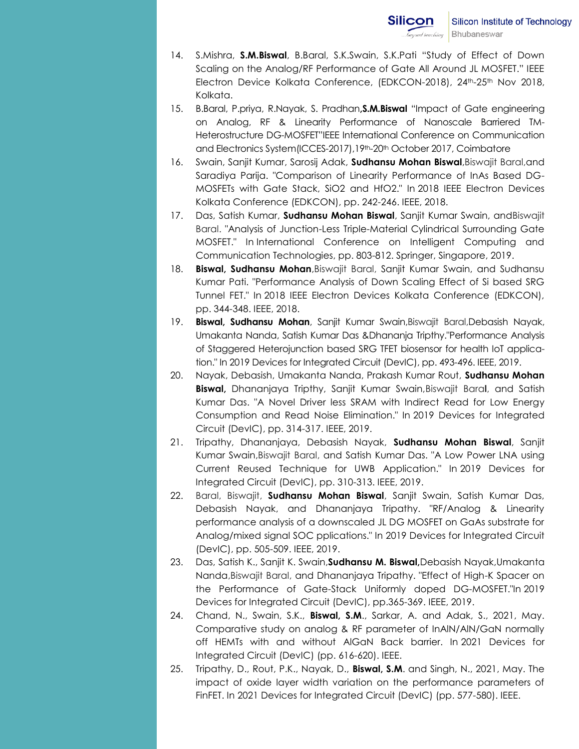- 14. S.Mishra, **S.M.Biswal**, B.Baral, S.K.Swain, S.K.Pati "Study of Effect of Down Scaling on the Analog/RF Performance of Gate All Around JL MOSFET." IEEE Electron Device Kolkata Conference, (EDKCON-2018), 24<sup>th</sup>-25<sup>th</sup> Nov 2018, Kolkata.
- 15. B.Baral, P.priya, R.Nayak, S. Pradhan**,S.M.Biswal** "Impact of Gate engineering on Analog, RF & Linearity Performance of Nanoscale Barriered TM-Heterostructure DG-MOSFET"IEEE International Conference on Communication and Electronics System(ICCES-2017), 19th-20th October 2017, Coimbatore
- 16. Swain, Sanjit Kumar, Sarosij Adak, **Sudhansu Mohan Biswal**,Biswajit Baral,and Saradiya Parija. "Comparison of Linearity Performance of InAs Based DG-MOSFETs with Gate Stack, SiO2 and HfO2." In 2018 IEEE Electron Devices Kolkata Conference (EDKCON), pp. 242-246. IEEE, 2018.
- 17. Das, Satish Kumar, **Sudhansu Mohan Biswal**, Sanjit Kumar Swain, andBiswajit Baral. "Analysis of Junction-Less Triple-Material Cylindrical Surrounding Gate MOSFET." In International Conference on Intelligent Computing and Communication Technologies, pp. 803-812. Springer, Singapore, 2019.
- 18. **Biswal, Sudhansu Mohan**,Biswajit Baral, Sanjit Kumar Swain, and Sudhansu Kumar Pati. "Performance Analysis of Down Scaling Effect of Si based SRG Tunnel FET." In 2018 IEEE Electron Devices Kolkata Conference (EDKCON), pp. 344-348. IEEE, 2018.
- 19. **Biswal, Sudhansu Mohan**, Sanjit Kumar Swain,Biswajit Baral,Debasish Nayak, Umakanta Nanda, Satish Kumar Das &Dhananja Tripthy."Performance Analysis of Staggered Heterojunction based SRG TFET biosensor for health IoT application." In 2019 Devices for Integrated Circuit (DevIC), pp. 493-496. IEEE, 2019.
- 20. Nayak, Debasish, Umakanta Nanda, Prakash Kumar Rout, **Sudhansu Mohan Biswal,** Dhananjaya Tripthy, Sanjit Kumar Swain,Biswajit Bara**l**, and Satish Kumar Das. "A Novel Driver less SRAM with Indirect Read for Low Energy Consumption and Read Noise Elimination." In 2019 Devices for Integrated Circuit (DevIC), pp. 314-317. IEEE, 2019.
- 21. Tripathy, Dhananjaya, Debasish Nayak, **Sudhansu Mohan Biswal**, Sanjit Kumar Swain,Biswajit Baral, and Satish Kumar Das. "A Low Power LNA using Current Reused Technique for UWB Application." In 2019 Devices for Integrated Circuit (DevIC), pp. 310-313. IEEE, 2019.
- 22. Baral, Biswajit, **Sudhansu Mohan Biswal**, Sanjit Swain, Satish Kumar Das, Debasish Nayak, and Dhananjaya Tripathy. "RF/Analog & Linearity performance analysis of a downscaled JL DG MOSFET on GaAs substrate for Analog/mixed signal SOC pplications." In 2019 Devices for Integrated Circuit (DevIC), pp. 505-509. IEEE, 2019.
- 23. Das, Satish K., Sanjit K. Swain,**Sudhansu M. Biswal,**Debasish Nayak,Umakanta Nanda,Biswajit Baral, and Dhananjaya Tripathy. "Effect of High-K Spacer on the Performance of Gate-Stack Uniformly doped DG-MOSFET."In 2019 Devices for Integrated Circuit (DevIC), pp.365-369. IEEE, 2019.
- 24. Chand, N., Swain, S.K., **Biswal, S.M**., Sarkar, A. and Adak, S., 2021, May. Comparative study on analog & RF parameter of InAlN/AlN/GaN normally off HEMTs with and without AlGaN Back barrier. In 2021 Devices for Integrated Circuit (DevIC) (pp. 616-620). IEEE.
- 25. Tripathy, D., Rout, P.K., Nayak, D., **Biswal, S.M**. and Singh, N., 2021, May. The impact of oxide layer width variation on the performance parameters of FinFET. In 2021 Devices for Integrated Circuit (DevIC) (pp. 577-580). IEEE.